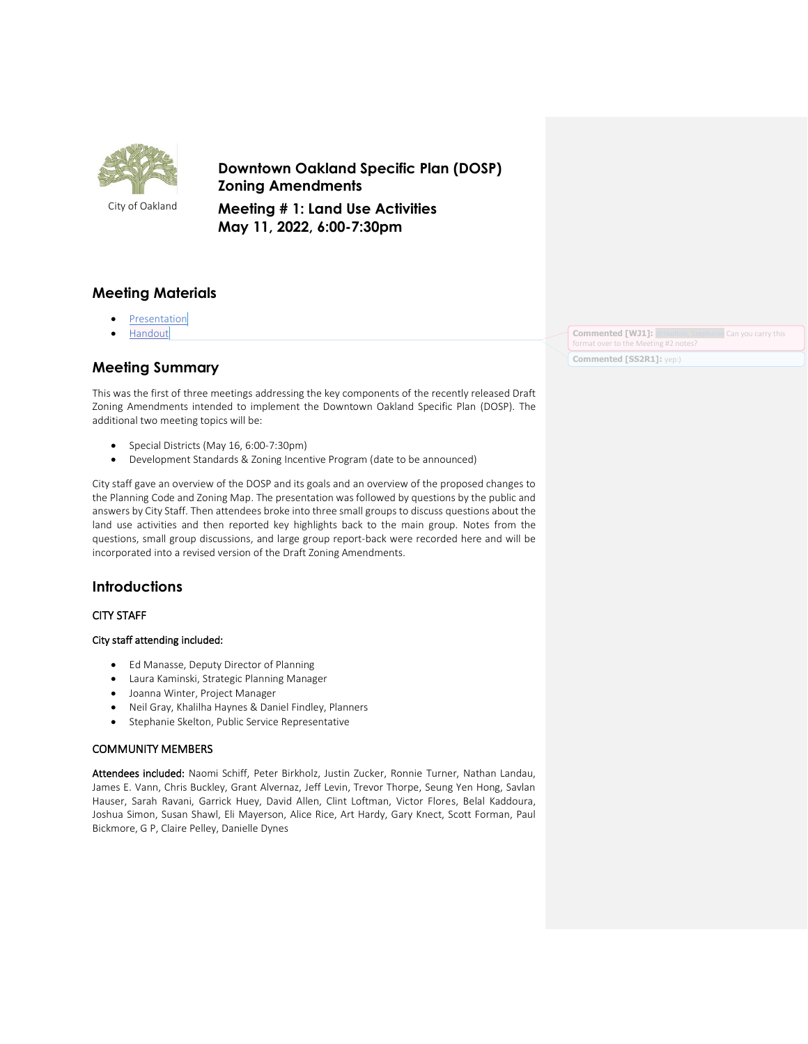

**Downtown Oakland Specific Plan (DOSP) Zoning Amendments** 

City of Oakland

**Meeting # 1: Land Use Activities May 11, 2022, 6:00-7:30pm**

## **Meeting Materials**

- **[Presentation](https://cao-94612.s3.amazonaws.com/documents/2022-05-11-DOSP-Zoning-Meeting-1-Presentation.pdf.pdf)**
- [Handout](https://cao-94612.s3.amazonaws.com/documents/2022-05-11-DOSP_ZoningMeeting1_Handout.pdf)

# **Meeting Summary**

This was the first of three meetings addressing the key components of the recently released Draft Zoning Amendments intended to implement the Downtown Oakland Specific Plan (DOSP). The additional two meeting topics will be:

- Special Districts (May 16, 6:00-7:30pm)
- Development Standards & Zoning Incentive Program (date to be announced)

City staff gave an overview of the DOSP and its goals and an overview of the proposed changes to the Planning Code and Zoning Map. The presentation was followed by questions by the public and answers by City Staff. Then attendees broke into three small groups to discuss questions about the land use activities and then reported key highlights back to the main group. Notes from the questions, small group discussions, and large group report-back were recorded here and will be incorporated into a revised version of the Draft Zoning Amendments.

## **Introductions**

### CITY STAFF

### City staff attending included:

- Ed Manasse, Deputy Director of Planning
- Laura Kaminski, Strategic Planning Manager
- Joanna Winter, Project Manager
- Neil Gray, Khalilha Haynes & Daniel Findley, Planners
- Stephanie Skelton, Public Service Representative

### COMMUNITY MEMBERS

Attendees included: Naomi Schiff, Peter Birkholz, Justin Zucker, Ronnie Turner, Nathan Landau, James E. Vann, Chris Buckley, Grant Alvernaz, Jeff Levin, Trevor Thorpe, Seung Yen Hong, Savlan Hauser, Sarah Ravani, Garrick Huey, David Allen, Clint Loftman, Victor Flores, Belal Kaddoura, Joshua Simon, Susan Shawl, Eli Mayerson, Alice Rice, Art Hardy, Gary Knect, Scott Forman, Paul Bickmore, G P, Claire Pelley, Danielle Dynes

**Commented [WJ1]:** [@Skelton, Stephanie](mailto:SSkelton@oaklandca.gov) Can you carry this format over to the Meeting  $#2$  no **Commented [SS2R1]:** yep:)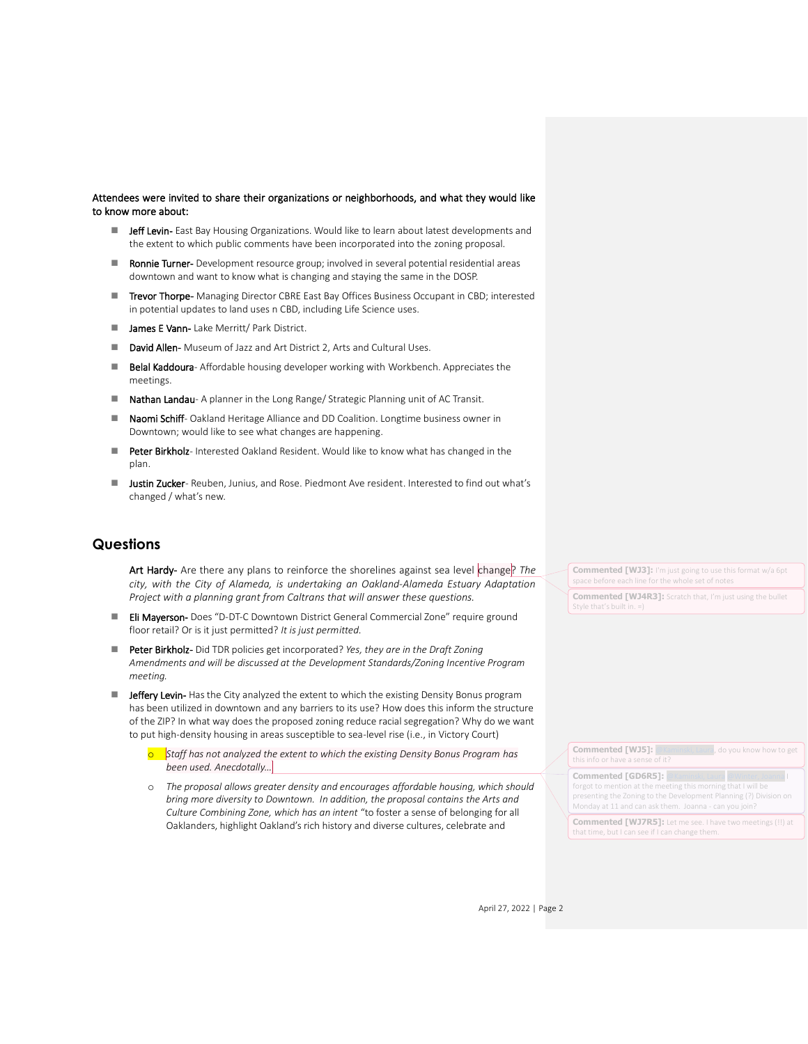#### Attendees were invited to share their organizations or neighborhoods, and what they would like to know more about:

- Jeff Levin- East Bay Housing Organizations. Would like to learn about latest developments and the extent to which public comments have been incorporated into the zoning proposal.
- Ronnie Turner- Development resource group; involved in several potential residential areas downtown and want to know what is changing and staying the same in the DOSP.
- **Trevor Thorpe-** Managing Director CBRE East Bay Offices Business Occupant in CBD; interested in potential updates to land uses n CBD, including Life Science uses.
- James E Vann- Lake Merritt/ Park District.
- David Allen- Museum of Jazz and Art District 2, Arts and Cultural Uses.
- Belal Kaddoura- Affordable housing developer working with Workbench. Appreciates the meetings.
- Nathan Landau- A planner in the Long Range/ Strategic Planning unit of AC Transit.
- Naomi Schiff- Oakland Heritage Alliance and DD Coalition. Longtime business owner in Downtown; would like to see what changes are happening.
- Peter Birkholz- Interested Oakland Resident. Would like to know what has changed in the plan.
- Justin Zucker- Reuben, Junius, and Rose. Piedmont Ave resident. Interested to find out what's changed / what's new.

## **Questions**

- Art Hardy- Are there any plans to reinforce the shorelines against sea level change? The *city, with the City of Alameda, is undertaking an Oakland-Alameda Estuary Adaptation Project with a planning grant from Caltrans that will answer these questions.*
- Eli Mayerson- Does "D-DT-C Downtown District General Commercial Zone" require ground floor retail? Or is it just permitted? *It is just permitted.*
- Peter Birkholz- Did TDR policies get incorporated? *Yes, they are in the Draft Zoning Amendments and will be discussed at the Development Standards/Zoning Incentive Program meeting.*
- Jeffery Levin- Has the City analyzed the extent to which the existing Density Bonus program has been utilized in downtown and any barriers to its use? How does this inform the structure of the ZIP? In what way does the proposed zoning reduce racial segregation? Why do we want to put high-density housing in areas susceptible to sea-level rise (i.e., in Victory Court)
	- Staff has not analyzed the extent to which the existing Density Bonus Program has *been used. Anecdotally…*
	- o *The proposal allows greater density and encourages affordable housing, which should bring more diversity to Downtown. In addition, the proposal contains the Arts and Culture Combining Zone, which has an intent* "to foster a sense of belonging for all Oaklanders, highlight Oakland's rich history and diverse cultures, celebrate and

**Commented [WJ3]:** I'm just going to use this format w/a 6pt ce before each line for the whole set of notes

**Commented [WJ4R3]:** Scratch that, I'm just using the bullet

| <b>Commented [WJ5]:</b> @Kaminski, Laura, do you know how to get<br>this info or have a sense of it?                                                                                                                                                       |
|------------------------------------------------------------------------------------------------------------------------------------------------------------------------------------------------------------------------------------------------------------|
| <b>Commented [GD6R5]: @Kaminski, Laura @Winter, Joanna I</b><br>forgot to mention at the meeting this morning that I will be<br>presenting the Zoning to the Development Planning (?) Division on<br>Monday at 11 and can ask them. Joanna - can you join? |
| <b>Commented [WJ7R5]:</b> Let me see. I have two meetings (!!) at<br>that time, but I can see if I can change them.                                                                                                                                        |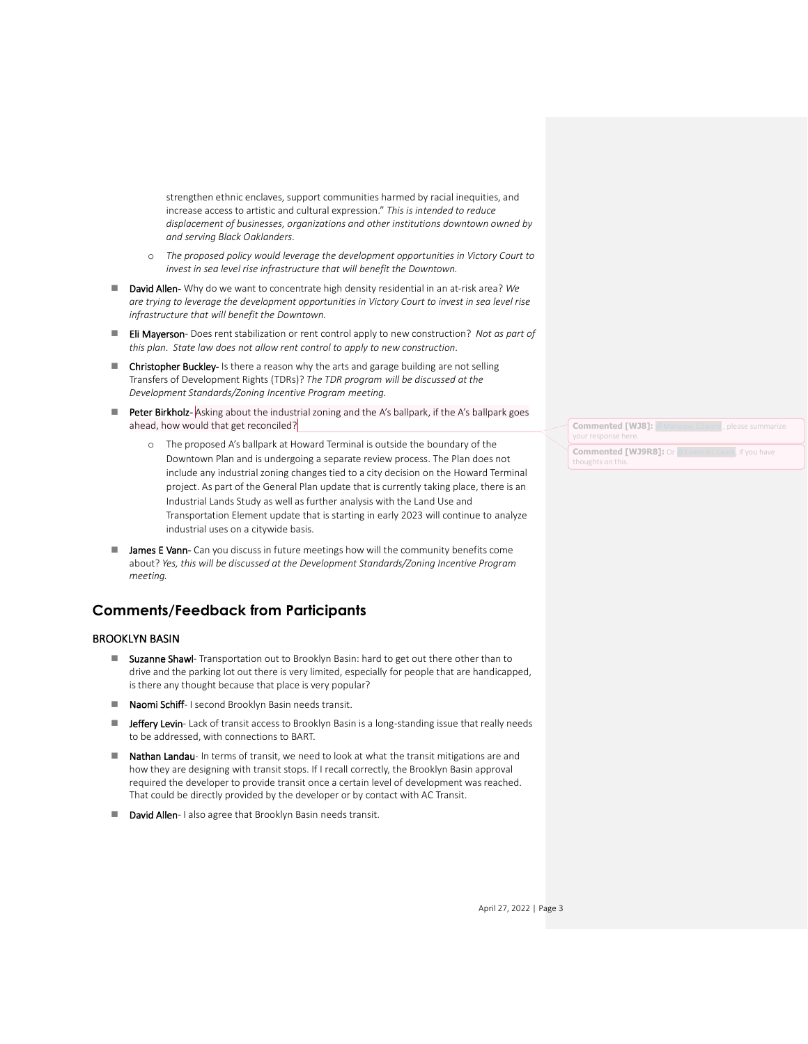strengthen ethnic enclaves, support communities harmed by racial inequities, and increase access to artistic and cultural expression." *This is intended to reduce displacement of businesses, organizations and other institutions downtown owned by and serving Black Oaklanders.*

- o *The proposed policy would leverage the development opportunities in Victory Court to invest in sea level rise infrastructure that will benefit the Downtown.*
- ◼ David Allen- Why do we want to concentrate high density residential in an at-risk area? *We are trying to leverage the development opportunities in Victory Court to invest in sea level rise infrastructure that will benefit the Downtown.*
- Eli Mayerson- Does rent stabilization or rent control apply to new construction? *Not as part of this plan. State law does not allow rent control to apply to new construction.*
- Christopher Buckley- Is there a reason why the arts and garage building are not selling Transfers of Development Rights (TDRs)? *The TDR program will be discussed at the Development Standards/Zoning Incentive Program meeting.*
- Peter Birkholz- Asking about the industrial zoning and the A's ballpark, if the A's ballpark goes ahead, how would that get reconciled?
	- o The proposed A's ballpark at Howard Terminal is outside the boundary of the Downtown Plan and is undergoing a separate review process. The Plan does not include any industrial zoning changes tied to a city decision on the Howard Terminal project. As part of the General Plan update that is currently taking place, there is an Industrial Lands Study as well as further analysis with the Land Use and Transportation Element update that is starting in early 2023 will continue to analyze industrial uses on a citywide basis.
- James E Vann- Can you discuss in future meetings how will the community benefits come about? *Yes, this will be discussed at the Development Standards/Zoning Incentive Program meeting.*

## **Comments/Feedback from Participants**

### BROOKLYN BASIN

- Suzanne Shawl- Transportation out to Brooklyn Basin: hard to get out there other than to drive and the parking lot out there is very limited, especially for people that are handicapped, is there any thought because that place is very popular?
- Naomi Schiff- I second Brooklyn Basin needs transit.
- Jeffery Levin- Lack of transit access to Brooklyn Basin is a long-standing issue that really needs to be addressed, with connections to BART.
- Nathan Landau- In terms of transit, we need to look at what the transit mitigations are and how they are designing with transit stops. If I recall correctly, the Brooklyn Basin approval required the developer to provide transit once a certain level of development was reached. That could be directly provided by the developer or by contact with AC Transit.
- David Allen-I also agree that Brooklyn Basin needs transit.

| <b>Commented [WJ8]: @Manasse, Edward, please summarize</b><br>your response here. |
|-----------------------------------------------------------------------------------|
| <b>Commented [WJ9R8]:</b> Or @Kaminski, Laura, if you have<br>thoughts on this.   |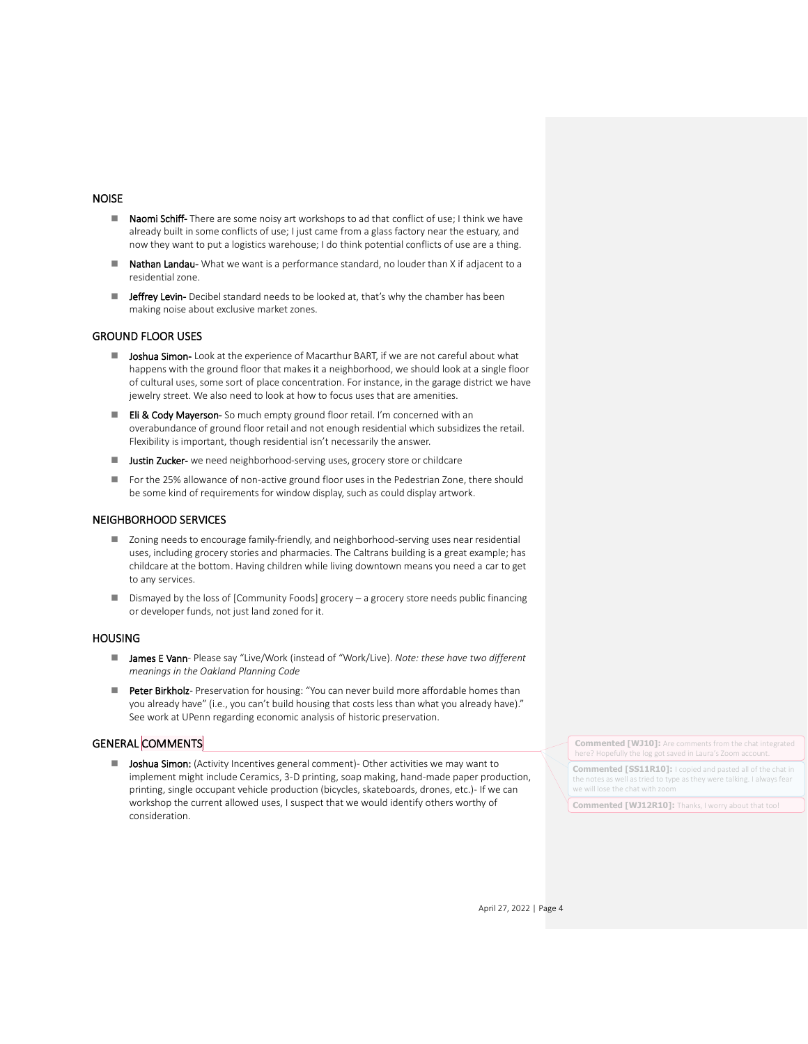#### NOISE

- Naomi Schiff- There are some noisy art workshops to ad that conflict of use; I think we have already built in some conflicts of use; I just came from a glass factory near the estuary, and now they want to put a logistics warehouse; I do think potential conflicts of use are a thing.
- Nathan Landau- What we want is a performance standard, no louder than X if adjacent to a residential zone.
- Jeffrey Levin- Decibel standard needs to be looked at, that's why the chamber has been making noise about exclusive market zones.

### GROUND FLOOR USES

- Joshua Simon- Look at the experience of Macarthur BART, if we are not careful about what happens with the ground floor that makes it a neighborhood, we should look at a single floor of cultural uses, some sort of place concentration. For instance, in the garage district we have jewelry street. We also need to look at how to focus uses that are amenities.
- Eli & Cody Mayerson- So much empty ground floor retail. I'm concerned with an overabundance of ground floor retail and not enough residential which subsidizes the retail. Flexibility is important, though residential isn't necessarily the answer.
- Justin Zucker- we need neighborhood-serving uses, grocery store or childcare
- For the 25% allowance of non-active ground floor uses in the Pedestrian Zone, there should be some kind of requirements for window display, such as could display artwork.

#### NEIGHBORHOOD SERVICES

- Zoning needs to encourage family-friendly, and neighborhood-serving uses near residential uses, including grocery stories and pharmacies. The Caltrans building is a great example; has childcare at the bottom. Having children while living downtown means you need a car to get to any services.
- Dismayed by the loss of [Community Foods] grocery a grocery store needs public financing or developer funds, not just land zoned for it.

### **HOUSING**

- **James E Vann** Please say "Live/Work (instead of "Work/Live). *Note: these have two different meanings in the Oakland Planning Code*
- Peter Birkholz- Preservation for housing: "You can never build more affordable homes than you already have" (i.e., you can't build housing that costs less than what you already have)." See work at UPenn regarding economic analysis of historic preservation.

### GENERAL COMMENTS

■ Joshua Simon: (Activity Incentives general comment) - Other activities we may want to implement might include Ceramics, 3-D printing, soap making, hand-made paper production, printing, single occupant vehicle production (bicycles, skateboards, drones, etc.)- If we can workshop the current allowed uses, I suspect that we would identify others worthy of consideration.

**Commented [WJ10]:** Are comments from the chat integrated here? Hopefully the log got saved in Laura's Zoom account.

**Commented [SS11R10]:** I copied and pasted all of the chat in the notes as well as tried to type as they were talking. I always fear we will lose the chat with zoom

**Commented [WJ12R10]:** Thanks, I worry about that too!